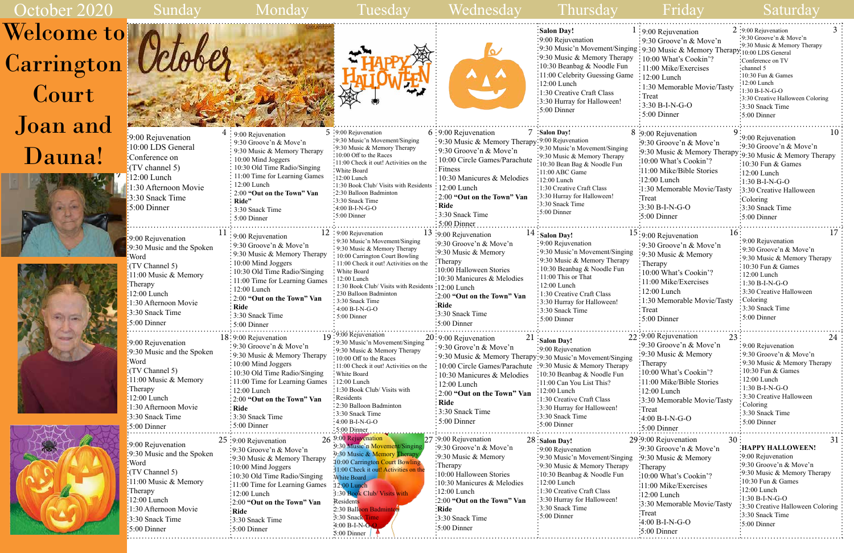

. . . . . . . . . . .

|                                                                                                                                                                                                                                                                             |                                                                                                                                                                                                                                                                                                                  |                                                                                                                                                                                                                                                                                                                                                                                                    |                                                                                                                                                                                                                                                                                                                                              | :Salon Day!<br>:9:00 Rejuvenation<br>:9:30 Music'n Movement/Singing : 9:30 Music & Memory Therapy: 10:00 LDS General<br>:9:30 Music & Memory Therapy : 10:00 What's Cookin'?<br>:10:30 Beanbag & Noodle Fun<br>:11:00 Celebrity Guessing Game<br>$\div 12:00$ Lunch<br>:1:30 Creative Craft Class<br>:3:30 Hurray for Halloween!<br>:5:00 Dinner | $1:9:00$ Rejuvenation<br>$\frac{1}{2}$ 9:30 Groove'n & Move'n<br>$\frac{1}{2}$ 11:00 Mike/Exercises<br>$\frac{1}{2}$ 12:00 Lunch<br>$\frac{1}{2}$ 1:30 Memorable Movie/Tasty<br>$\cdot$ Treat<br>$\div$ 3:30 B-I-N-G-O<br>$\frac{1}{2}$ 5:00 Dinner                                        | $2:9:00$ Rejuvenation<br>:9:30 Groove'n & Move'n<br>:9:30 Music & Memory Therapy<br>:Conference on TV<br>$:$ channel 5<br>:10:30 Fun & Games<br>:12:00 Lunch<br>$:1:30 B-I-N-G-O$<br>:3:30 Creative Halloween Coloring<br>:3:30 Snack Time<br>$:5:00$ Dinner |
|-----------------------------------------------------------------------------------------------------------------------------------------------------------------------------------------------------------------------------------------------------------------------------|------------------------------------------------------------------------------------------------------------------------------------------------------------------------------------------------------------------------------------------------------------------------------------------------------------------|----------------------------------------------------------------------------------------------------------------------------------------------------------------------------------------------------------------------------------------------------------------------------------------------------------------------------------------------------------------------------------------------------|----------------------------------------------------------------------------------------------------------------------------------------------------------------------------------------------------------------------------------------------------------------------------------------------------------------------------------------------|--------------------------------------------------------------------------------------------------------------------------------------------------------------------------------------------------------------------------------------------------------------------------------------------------------------------------------------------------|--------------------------------------------------------------------------------------------------------------------------------------------------------------------------------------------------------------------------------------------------------------------------------------------|--------------------------------------------------------------------------------------------------------------------------------------------------------------------------------------------------------------------------------------------------------------|
| :9:00 Rejuvenation<br>10:00 LDS General<br>:Conference on<br>$\frac{1}{2}$ (TV channel 5)<br>$12:00$ Lunch<br>1:30 Afternoon Movie<br>3:30 Snack Time<br>$\frac{1}{2}$ 5:00 Dinner                                                                                          | $4\div 9:00$ Rejuvenation<br>$\frac{1}{2}$ 9:30 Groove'n & Move'n<br>9:30 Music & Memory Therapy<br>10:00 Mind Joggers<br>10:30 Old Time Radio/Singing<br>11:00 Time for Learning Games<br>12:00 Lunch<br>2:00 "Out on the Town" Van<br>: Ride"<br>$\frac{1}{2}$ 3:30 Snack Time<br>5:00 Dinner                  | $5:9:00$ Rejuvenation<br>:9:30 Music'n Movement/Singing<br>:9:30 Music & Memory Therapy<br>:10:00 Off to the Races<br>:11:00 Check it out! Activities on the<br>: White Board<br>$\cdot$ 12:00 Lunch<br>:1:30 Book Club/ Visits with Residents<br>:2:30 Balloon Badminton<br>:3:30 Snack Time<br>$-4:00 B-I-N-G-O$<br>:5:00 Dinner                                                                 | 6:9:00 Rejuvenation<br>: 9:30 Music & Memory Therapy: 9:00 Rejuvenation<br>$\frac{1}{2}$ 9:30 Groove'n & Move'n<br>$\frac{1}{2}$ :10:00 Circle Games/Parachute<br>: Fitness<br>: 10:30 Manicures & Melodies<br>$: 12:00$ Lunch<br>: 2:00 "Out on the Town" Van<br>: Ride<br>$\frac{1}{2}$ 3:30 Snack Time<br>$5:00$ Dinner                   | Salon Day!<br>:9:30 Music'n Movement/Singing<br>:9:30 Music & Memory Therapy<br>:10:30 Bean Bag & Noodle Fun<br>$\cdot$ 11:00 ABC Game<br>:12:00 Lunch<br>$\cdot$ 1:30 Creative Craft Class<br>:3:30 Hurray for Halloween!<br>:3:30 Snack Time<br>$\cdot$ 5:00 Dinner                                                                            | 8 :9:00 Rejuvenation<br>:9:30 Groove'n & Move'n<br>:9:30 Music & Memory Therapy: 9:30 Music & Memory Therapy<br>:10:00 What's Cookin'?<br>:11:00 Mike/Bible Stories<br>:12:00 Lunch<br>:1:30 Memorable Movie/Tasty<br>:Treat<br>:3:30 B-I-N-G-O<br>$\cdot 5:00$ Dinner                     | 10<br>:9:00 Rejuvenation<br>:9:30 Groove'n & Move'n<br>:10:30 Fun $&$ Games<br>$\frac{1}{2}$ :00 Lunch<br>$:1:30 B-I-N-G-O$<br>:3:30 Creative Halloween<br>Coloring<br>:3:30 Snack Time<br>:5:00 Dinner                                                      |
| :9:00 Rejuvenation<br>:9:30 Music and the Spoken<br>Word<br>$\frac{1}{2}$ (TV Channel 5)<br>$:11:00$ Music & Memory<br>$\mathbf{F}$ : Therapy<br>$:12:00$ Lunch<br>$:1:30$ Afternoon Movie<br>:3:30 Snack Time<br>$\frac{1}{2}$ :00 Dinner                                  | $\frac{1}{2}$ 9:00 Rejuvenation<br>: 9:30 Groove'n & Move'n<br>: 9:30 Music & Memory Therapy<br>: 10:00 Mind Joggers<br>10:30 Old Time Radio/Singing<br>: 11:00 Time for Learning Games<br>$: 12:00$ Lunch<br>: 2:00 "Out on the Town" Van<br>Ride<br>$\frac{1}{2}$ 3:30 Snack Time<br>$\frac{1}{2}$ 5:00 Dinner | $12:9:00$ Rejuvenation<br>: 9:30 Music'n Movement/Singing<br>: 9:30 Music & Memory Therapy<br>: 10:00 Carrington Court Bowling<br>$\frac{1}{2}$ 11:00 Check it out! Activities on the<br>: White Board<br>12:00 Lunch<br>$\frac{1}{2}$ 1:30 Book Club/ Visits with Residents $\frac{1}{2}$ 12:00 Lunch<br>: 230 Balloon Badminton<br>: 3:30 Snack Time<br>$\div$ 4:00 B-I-N-G-O<br>$: 5:00$ Dinner | $13:9:00$ Rejuvenation<br>:9:30 Groove'n & Move'n<br>:9:30 Music & Memory<br>:Therapy<br>:10:00 Halloween Stories<br>:10:30 Manicures & Melodies<br>:2:00 "Out on the Town" Van<br>$\frac{1}{2}$ Ride<br>3:30 Snack Time<br>$:5:00$ Dinner                                                                                                   | $14:$ Salon Day!<br>: 9:00 Rejuvenation<br>: 9:30 Music'n Movement/Singing<br>: 9:30 Music & Memory Therapy<br>: 10:30 Beanbag & Noodle Fun<br>: 11:00 This or That<br>$\frac{1}{2}$ 12:00 Lunch<br>1:30 Creative Craft Class<br>:3:30 Hurray for Halloween!<br>:3:30 Snack Time<br>$\frac{1}{2}$ 5:00 Dinner                                    | $15:9:00$ Rejuvenation<br>16:<br>$\frac{1}{2}$ 9:30 Groove'n & Move'n<br>:9:30 Music & Memory<br>:Therapy<br>:10:00 What's Cookin'?<br>$\frac{1}{2}11:00$ Mike/Exercises<br>$\frac{1}{2}12:00$ Lunch<br>$\frac{1}{2}$ 1:30 Memorable Movie/Tasty<br>$:$ Treat<br>$\frac{1}{2}$ 5:00 Dinner | 17<br>: 9:00 Rejuvenation<br>:9:30 Groove'n & Move'n<br>: 9:30 Music & Memory Therapy<br>$:10:30$ Fun & Games<br>:12:00 Lunch<br>: $1:30 B-I-N-G-O$<br>$\frac{1}{2}$ 3:30 Creative Halloween<br>Coloring<br>:3:30 Snack Time<br>:5:00 Dinner                 |
| :9:00 Rejuvenation<br>:9:30 Music and the Spoken<br>:Word<br>:(TV Channel 5)<br>$:11:00$ Music & Memory<br>Therapy<br>$:12:00$ Lunch<br>1:30 Afternoon Movie<br>3:30 Snack Time<br>$\frac{1}{2}$ :5:00 Dinner                                                               | $18:9:00$ Rejuvenation<br>$\frac{1}{2}$ 9:30 Groove'n & Move'n<br>: 9:30 Music & Memory Therapy<br>: 10:00 Mind Joggers<br>: 10:30 Old Time Radio/Singing<br>11:00 Time for Learning Games<br>12:00 Lunch<br>: 2:00 "Out on the Town" Van<br>: Ride<br>:3:30 Snack Time<br>$\frac{1}{2}$ 5:00 Dinner             | $19:9:00$ Rejuvenation<br>: 9:30 Music'n Movement/Singing<br>:9:30 Music & Memory Therapy<br>$\frac{1}{2}10:00$ Off to the Races<br>: 11:00 Check it out! Activities on the<br>: White Board<br>$\cdot$ 12:00 Lunch<br>:1:30 Book Club/ Visits with<br>: Residents<br>:2:30 Balloon Badminton<br>:3:30 Snack Time<br>$:4:00 B-I-N-G-O$<br>5:00 Dinner                                              | 21<br>$20:9:00$ Rejuvenation<br>$\frac{1}{2}$ 9:30 Grove'n & Move'n<br>: 9:30 Music & Memory Therapy: 9:30 Music'n Movement/Singing<br>$\frac{1}{2}$ 10:00 Circle Games/Parachute :9:30 Music & Memory Therapy<br>10:30 Manicures & Melodies<br>12:00 Lunch<br>: 2:00 "Out on the Town" Van<br>: Ride<br>: 3:30 Snack Time<br>$:5:00$ Dinner | $\therefore$ Salon Day!<br>$\cdot$ 9:00 Rejuvenation<br>:10:30 Beanbag & Noodle Fun<br>$\frac{1}{2}11:00$ Can You List This?<br>$\frac{12:00 \text{ Lunch}}{2}$<br>:1:30 Creative Craft Class<br>:3:30 Hurray for Halloween!<br>:3:30 Snack Time<br>$\frac{1}{2}$ 5:00 Dinner                                                                    | 22:9:00 Rejuvenation<br>23:<br>:9:30 Groove'n & Move'n<br>:9:30 Music & Memory<br>: Therapy<br>:10:00 What's Cookin'?<br>:11:00 Mike/Bible Stories<br>$\frac{1}{2}12:00$ Lunch<br>:3:30 Memorable Movie/Tasty<br>$\cdot$ Treat<br>$4:00 B-I-N-G-O$<br>$\frac{1}{2}$ 5:00 Dinner            | 24<br>: 9:00 Rejuvenation<br>:9:30 Groove'n & Move'n<br>: 9:30 Music & Memory Therapy<br>: 10:30 Fun & Games<br>12:00 Lunch<br>$:1:30 B-I-N-G-O$<br>: 3:30 Creative Halloween<br>: Coloring<br>$\frac{1}{2}$ 3:30 Snack Time<br>$\frac{1}{2}$ 5:00 Dinner    |
| .<br>$\frac{1}{2}$ 9:00 Rejuvenation<br>$\frac{1}{2}$ 9:30 Music and the Spoken<br>:Word<br>$\frac{1}{2}$ (TV Channel 5)<br>:11:00 Music $&$ Memory<br>$\blacksquare$ : Therapy<br>$:12:00$ Lunch<br>:1:30 Afternoon Movie<br>:3:30 Snack Time<br>$\frac{1}{2}$ 5:00 Dinner | $25:9:00$ Rejuvenation<br>$\frac{1}{2}$ 9:30 Groove'n & Move'n<br>:9:30 Music & Memory Therapy<br>:10:00 Mind Joggers<br>:10:30 Old Time Radio/Singing<br>:11:00 Time for Learning Games<br>:12:00 Lunch<br>:2:00 "Out on the Town" Van<br>:Ride<br>:3:30 Snack Time<br>$:5:00$ Dinner                           | 26 9:00 Rejuvenation<br>9:30 Music'n Movement/Singing<br>9:30 Music & Memory Therapy<br>10:00 Carrington Court Bowling<br>11:00 Check it out! Activities on the<br>White Board<br>$12:00$ Lunch<br>1:30 Book Club/ Visits with<br>Residents<br>2:30 Balloon Badminton<br>3:30 Snack Time<br>$4:00 B-I-N-G-O$<br>5:00 Dinner                                                                        | 27:9:00 Rejuvenation<br>:9:30 Groove'n $& \text{Move'}n$<br>$\frac{1}{2}9:30$ Music & Memory<br>$:$ Therapy<br>:10:00 Halloween Stories<br>10:30 Manicures & Melodies<br>$:12:00$ Lunch<br>:2:00 "Out on the Town" Van<br>:Ride<br>:3:30 Snack Time<br>$\frac{1}{2}$ 5:00 Dinner                                                             | 28: Salon Day!<br>$\cdot$ 9:00 Rejuvenation<br>:9:30 Music'n Movement/Singing<br>:9:30 Music & Memory Therapy<br>:10:30 Beanbag & Noodle Fun<br>$\frac{1}{2}12:00$ Lunch<br>:1:30 Creative Craft Class<br>:3:30 Hurray for Halloween!<br>:3:30 Snack Time<br>$\frac{1}{2}$ 5:00 Dinner                                                           | 29:9:00 Rejuvenation<br>30<br>9:30 Groove'n & Move'n<br>:9:30 Music & Memory<br>$\therefore$ Therapy<br>:10:00 What's Cookin'?<br>:11:00 Mike/Exercises<br>$\frac{1}{2}12:00$ Lunch<br>:3:30 Memorable Movie/Tasty<br>Treat<br>$-4:00 B-I-N-G-O$<br>$\cdot 5:00$ Dinner                    | 31<br>:HAPPY HALLOWEEN!<br>:9:00 Rejuvenation<br>:9:30 Groove'n & Move'n<br>:9:30 Music & Memory Therapy<br>:10:30 Fun & Games<br>:12:00 Lunch<br>$:1:30 B-I-N-G-O$<br>3:30 Creative Halloween Coloring<br>:3:30 Snack Time<br>:5:00 Dinner                  |

 Welcome to October 2020 **Carrington** Court Joan and Dauna!







| $1:9:00$ Rejuvenation<br>2 :9:00 Rejuvenation<br>:9:30 Groove'n & Move'n<br>$\div 9:30$ Groove'n & Move'n<br>9:30 Music & Memory Therapy<br>$\lim_{x \to 0}$ : 9:30 Music & Memory Therapy: 10:00 LDS General<br>$:10:00$ What's Cookin'?<br>py<br>Conference on TV<br>11:00 Mike/Exercises<br>channel 5<br>10:30 Fun & Games<br>ne<br>$\frac{1}{2}12:00$ Lunch<br>$:12:00$ Lunch<br>1:30 Memorable Movie/Tasty<br>$1:30 B-I-N-G-O$<br>Treat<br>3:30 Creative Halloween Coloring<br>$3:30 B-I-N-G-O$<br>3:30 Snack Time<br>5:00 Dinner<br>5:00 Dinner<br>8 :9:00 Rejuvenation<br>9<br>9:00 Rejuvenation<br>:9:30 Groove'n & Move'n<br>9:30 Groove'n & Move'n<br>:9:30 Music & Memory Therapy: 9:30 Music & Memory Therapy<br>:10:00 What's Cookin'?<br>$10:30$ Fun & Games<br>11:00 Mike/Bible Stories<br>$12:00$ Lunch<br>:12:00 Lunch<br>1:30 B-I-N-G-O:<br>:1:30 Memorable Movie/Tasty<br>3:30 Creative Halloween<br>:Treat<br>Coloring<br>$3:30 B-I-N-G-O$<br>3:30 Snack Time<br>:5:00 Dinner<br>5:00 Dinner<br>$15:9:00$ Rejuvenation<br>16<br>9:00 Rejuvenation<br>9:30 Groove'n & Move'n<br>9:30 Groove'n & Move'n<br>ng<br>9:30 Music & Memory<br>9:30 Music & Memory Therapy<br>y<br>Therapy<br>10:30 Fun & Games<br>10:00 What's Cookin'?<br>$12:00$ Lunch | 3<br>10<br>17 |
|----------------------------------------------------------------------------------------------------------------------------------------------------------------------------------------------------------------------------------------------------------------------------------------------------------------------------------------------------------------------------------------------------------------------------------------------------------------------------------------------------------------------------------------------------------------------------------------------------------------------------------------------------------------------------------------------------------------------------------------------------------------------------------------------------------------------------------------------------------------------------------------------------------------------------------------------------------------------------------------------------------------------------------------------------------------------------------------------------------------------------------------------------------------------------------------------------------------------------------------------------------------------|---------------|
|                                                                                                                                                                                                                                                                                                                                                                                                                                                                                                                                                                                                                                                                                                                                                                                                                                                                                                                                                                                                                                                                                                                                                                                                                                                                      |               |
|                                                                                                                                                                                                                                                                                                                                                                                                                                                                                                                                                                                                                                                                                                                                                                                                                                                                                                                                                                                                                                                                                                                                                                                                                                                                      |               |
|                                                                                                                                                                                                                                                                                                                                                                                                                                                                                                                                                                                                                                                                                                                                                                                                                                                                                                                                                                                                                                                                                                                                                                                                                                                                      |               |
|                                                                                                                                                                                                                                                                                                                                                                                                                                                                                                                                                                                                                                                                                                                                                                                                                                                                                                                                                                                                                                                                                                                                                                                                                                                                      |               |
|                                                                                                                                                                                                                                                                                                                                                                                                                                                                                                                                                                                                                                                                                                                                                                                                                                                                                                                                                                                                                                                                                                                                                                                                                                                                      |               |
|                                                                                                                                                                                                                                                                                                                                                                                                                                                                                                                                                                                                                                                                                                                                                                                                                                                                                                                                                                                                                                                                                                                                                                                                                                                                      |               |
|                                                                                                                                                                                                                                                                                                                                                                                                                                                                                                                                                                                                                                                                                                                                                                                                                                                                                                                                                                                                                                                                                                                                                                                                                                                                      |               |
|                                                                                                                                                                                                                                                                                                                                                                                                                                                                                                                                                                                                                                                                                                                                                                                                                                                                                                                                                                                                                                                                                                                                                                                                                                                                      |               |
|                                                                                                                                                                                                                                                                                                                                                                                                                                                                                                                                                                                                                                                                                                                                                                                                                                                                                                                                                                                                                                                                                                                                                                                                                                                                      |               |
|                                                                                                                                                                                                                                                                                                                                                                                                                                                                                                                                                                                                                                                                                                                                                                                                                                                                                                                                                                                                                                                                                                                                                                                                                                                                      |               |
|                                                                                                                                                                                                                                                                                                                                                                                                                                                                                                                                                                                                                                                                                                                                                                                                                                                                                                                                                                                                                                                                                                                                                                                                                                                                      |               |
|                                                                                                                                                                                                                                                                                                                                                                                                                                                                                                                                                                                                                                                                                                                                                                                                                                                                                                                                                                                                                                                                                                                                                                                                                                                                      |               |
|                                                                                                                                                                                                                                                                                                                                                                                                                                                                                                                                                                                                                                                                                                                                                                                                                                                                                                                                                                                                                                                                                                                                                                                                                                                                      |               |
|                                                                                                                                                                                                                                                                                                                                                                                                                                                                                                                                                                                                                                                                                                                                                                                                                                                                                                                                                                                                                                                                                                                                                                                                                                                                      |               |
|                                                                                                                                                                                                                                                                                                                                                                                                                                                                                                                                                                                                                                                                                                                                                                                                                                                                                                                                                                                                                                                                                                                                                                                                                                                                      |               |
|                                                                                                                                                                                                                                                                                                                                                                                                                                                                                                                                                                                                                                                                                                                                                                                                                                                                                                                                                                                                                                                                                                                                                                                                                                                                      |               |
|                                                                                                                                                                                                                                                                                                                                                                                                                                                                                                                                                                                                                                                                                                                                                                                                                                                                                                                                                                                                                                                                                                                                                                                                                                                                      |               |
|                                                                                                                                                                                                                                                                                                                                                                                                                                                                                                                                                                                                                                                                                                                                                                                                                                                                                                                                                                                                                                                                                                                                                                                                                                                                      |               |
|                                                                                                                                                                                                                                                                                                                                                                                                                                                                                                                                                                                                                                                                                                                                                                                                                                                                                                                                                                                                                                                                                                                                                                                                                                                                      |               |
|                                                                                                                                                                                                                                                                                                                                                                                                                                                                                                                                                                                                                                                                                                                                                                                                                                                                                                                                                                                                                                                                                                                                                                                                                                                                      |               |
|                                                                                                                                                                                                                                                                                                                                                                                                                                                                                                                                                                                                                                                                                                                                                                                                                                                                                                                                                                                                                                                                                                                                                                                                                                                                      |               |
|                                                                                                                                                                                                                                                                                                                                                                                                                                                                                                                                                                                                                                                                                                                                                                                                                                                                                                                                                                                                                                                                                                                                                                                                                                                                      |               |
|                                                                                                                                                                                                                                                                                                                                                                                                                                                                                                                                                                                                                                                                                                                                                                                                                                                                                                                                                                                                                                                                                                                                                                                                                                                                      |               |
|                                                                                                                                                                                                                                                                                                                                                                                                                                                                                                                                                                                                                                                                                                                                                                                                                                                                                                                                                                                                                                                                                                                                                                                                                                                                      |               |
|                                                                                                                                                                                                                                                                                                                                                                                                                                                                                                                                                                                                                                                                                                                                                                                                                                                                                                                                                                                                                                                                                                                                                                                                                                                                      |               |
|                                                                                                                                                                                                                                                                                                                                                                                                                                                                                                                                                                                                                                                                                                                                                                                                                                                                                                                                                                                                                                                                                                                                                                                                                                                                      |               |
|                                                                                                                                                                                                                                                                                                                                                                                                                                                                                                                                                                                                                                                                                                                                                                                                                                                                                                                                                                                                                                                                                                                                                                                                                                                                      |               |
|                                                                                                                                                                                                                                                                                                                                                                                                                                                                                                                                                                                                                                                                                                                                                                                                                                                                                                                                                                                                                                                                                                                                                                                                                                                                      |               |
|                                                                                                                                                                                                                                                                                                                                                                                                                                                                                                                                                                                                                                                                                                                                                                                                                                                                                                                                                                                                                                                                                                                                                                                                                                                                      |               |
| 11:00 Mike/Exercises<br>$1:30 B-I-N-G-O$                                                                                                                                                                                                                                                                                                                                                                                                                                                                                                                                                                                                                                                                                                                                                                                                                                                                                                                                                                                                                                                                                                                                                                                                                             |               |
| $12:00$ Lunch<br>3:30 Creative Halloween                                                                                                                                                                                                                                                                                                                                                                                                                                                                                                                                                                                                                                                                                                                                                                                                                                                                                                                                                                                                                                                                                                                                                                                                                             |               |
| Coloring<br>1:30 Memorable Movie/Tasty<br>3:30 Snack Time                                                                                                                                                                                                                                                                                                                                                                                                                                                                                                                                                                                                                                                                                                                                                                                                                                                                                                                                                                                                                                                                                                                                                                                                            |               |
| Treat<br>5:00 Dinner                                                                                                                                                                                                                                                                                                                                                                                                                                                                                                                                                                                                                                                                                                                                                                                                                                                                                                                                                                                                                                                                                                                                                                                                                                                 |               |
| 5:00 Dinner                                                                                                                                                                                                                                                                                                                                                                                                                                                                                                                                                                                                                                                                                                                                                                                                                                                                                                                                                                                                                                                                                                                                                                                                                                                          |               |
| 22:9:00 Rejuvenation                                                                                                                                                                                                                                                                                                                                                                                                                                                                                                                                                                                                                                                                                                                                                                                                                                                                                                                                                                                                                                                                                                                                                                                                                                                 |               |
| 23<br>:9:30 Groove'n & Move'n                                                                                                                                                                                                                                                                                                                                                                                                                                                                                                                                                                                                                                                                                                                                                                                                                                                                                                                                                                                                                                                                                                                                                                                                                                        |               |
| 9:00 Rejuvenation<br>$\frac{1}{2}9:30$ Music & Memory<br>9:30 Groove'n & Move'n                                                                                                                                                                                                                                                                                                                                                                                                                                                                                                                                                                                                                                                                                                                                                                                                                                                                                                                                                                                                                                                                                                                                                                                      | 24            |
| 1g<br>9:30 Music & Memory Therapy<br>: Therapy                                                                                                                                                                                                                                                                                                                                                                                                                                                                                                                                                                                                                                                                                                                                                                                                                                                                                                                                                                                                                                                                                                                                                                                                                       |               |
|                                                                                                                                                                                                                                                                                                                                                                                                                                                                                                                                                                                                                                                                                                                                                                                                                                                                                                                                                                                                                                                                                                                                                                                                                                                                      |               |
|                                                                                                                                                                                                                                                                                                                                                                                                                                                                                                                                                                                                                                                                                                                                                                                                                                                                                                                                                                                                                                                                                                                                                                                                                                                                      |               |
| 10:30 Fun & Games<br>:10:00 What's Cookin'?                                                                                                                                                                                                                                                                                                                                                                                                                                                                                                                                                                                                                                                                                                                                                                                                                                                                                                                                                                                                                                                                                                                                                                                                                          |               |
| $12:00$ Lunch<br>11:00 Mike/Bible Stories<br>$1:30 B-I-N-G-O$                                                                                                                                                                                                                                                                                                                                                                                                                                                                                                                                                                                                                                                                                                                                                                                                                                                                                                                                                                                                                                                                                                                                                                                                        |               |
| $:12:00$ Lunch<br>3:30 Creative Halloween                                                                                                                                                                                                                                                                                                                                                                                                                                                                                                                                                                                                                                                                                                                                                                                                                                                                                                                                                                                                                                                                                                                                                                                                                            |               |
| 3:30 Memorable Movie/Tasty<br>Coloring                                                                                                                                                                                                                                                                                                                                                                                                                                                                                                                                                                                                                                                                                                                                                                                                                                                                                                                                                                                                                                                                                                                                                                                                                               |               |
| Treat<br>3:30 Snack Time                                                                                                                                                                                                                                                                                                                                                                                                                                                                                                                                                                                                                                                                                                                                                                                                                                                                                                                                                                                                                                                                                                                                                                                                                                             |               |
| $\frac{1}{2}4:00 B-I-N-G-O$<br>5:00 Dinner                                                                                                                                                                                                                                                                                                                                                                                                                                                                                                                                                                                                                                                                                                                                                                                                                                                                                                                                                                                                                                                                                                                                                                                                                           |               |
| ſ<br>$\frac{1}{2}$ 5:00 Dinner<br>.                                                                                                                                                                                                                                                                                                                                                                                                                                                                                                                                                                                                                                                                                                                                                                                                                                                                                                                                                                                                                                                                                                                                                                                                                                  |               |
| 29:9:00 Rejuvenation<br>30                                                                                                                                                                                                                                                                                                                                                                                                                                                                                                                                                                                                                                                                                                                                                                                                                                                                                                                                                                                                                                                                                                                                                                                                                                           | 31            |
| <b>HAPPY HALLOWEEN!</b><br>9:30 Groove'n & Move'n                                                                                                                                                                                                                                                                                                                                                                                                                                                                                                                                                                                                                                                                                                                                                                                                                                                                                                                                                                                                                                                                                                                                                                                                                    |               |
| :9:00 Rejuvenation<br>:9:30 Music & Memory<br>1g                                                                                                                                                                                                                                                                                                                                                                                                                                                                                                                                                                                                                                                                                                                                                                                                                                                                                                                                                                                                                                                                                                                                                                                                                     |               |
| :9:30 Groove'n & Move'n<br>:Therapy<br>Ý                                                                                                                                                                                                                                                                                                                                                                                                                                                                                                                                                                                                                                                                                                                                                                                                                                                                                                                                                                                                                                                                                                                                                                                                                             |               |
| 9:30 Music & Memory Therapy<br>:10:00 What's Cookin'?                                                                                                                                                                                                                                                                                                                                                                                                                                                                                                                                                                                                                                                                                                                                                                                                                                                                                                                                                                                                                                                                                                                                                                                                                |               |
| 10:30 Fun & Games<br>$\cdot 11:00$ Mike/Exercises                                                                                                                                                                                                                                                                                                                                                                                                                                                                                                                                                                                                                                                                                                                                                                                                                                                                                                                                                                                                                                                                                                                                                                                                                    |               |
| :12:00 Lunch<br>$\frac{12:00}{2}$ Lunch                                                                                                                                                                                                                                                                                                                                                                                                                                                                                                                                                                                                                                                                                                                                                                                                                                                                                                                                                                                                                                                                                                                                                                                                                              |               |
| :1:30 B-I-N-G-O<br>:3:30 Memorable Movie/Tasty                                                                                                                                                                                                                                                                                                                                                                                                                                                                                                                                                                                                                                                                                                                                                                                                                                                                                                                                                                                                                                                                                                                                                                                                                       |               |
| 3:30 Creative Halloween Coloring<br>:Treat                                                                                                                                                                                                                                                                                                                                                                                                                                                                                                                                                                                                                                                                                                                                                                                                                                                                                                                                                                                                                                                                                                                                                                                                                           |               |
| 3:30 Snack Time<br>$-4:00 B-I-N-G-O$<br>5:00 Dinner                                                                                                                                                                                                                                                                                                                                                                                                                                                                                                                                                                                                                                                                                                                                                                                                                                                                                                                                                                                                                                                                                                                                                                                                                  |               |